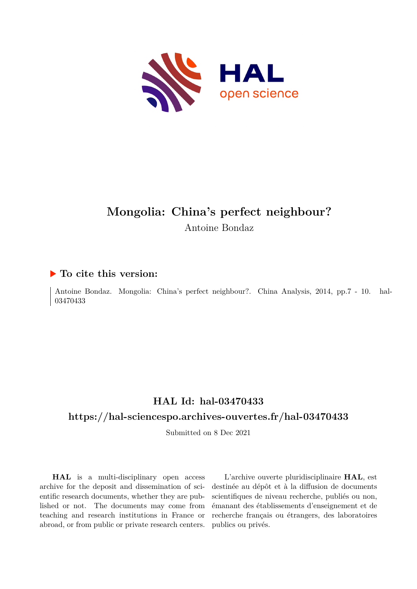

# **Mongolia: China's perfect neighbour?** Antoine Bondaz

# **To cite this version:**

Antoine Bondaz. Mongolia: China's perfect neighbour?. China Analysis, 2014, pp.7 - 10. hal-03470433

# **HAL Id: hal-03470433**

# **<https://hal-sciencespo.archives-ouvertes.fr/hal-03470433>**

Submitted on 8 Dec 2021

**HAL** is a multi-disciplinary open access archive for the deposit and dissemination of scientific research documents, whether they are published or not. The documents may come from teaching and research institutions in France or abroad, or from public or private research centers.

L'archive ouverte pluridisciplinaire **HAL**, est destinée au dépôt et à la diffusion de documents scientifiques de niveau recherche, publiés ou non, émanant des établissements d'enseignement et de recherche français ou étrangers, des laboratoires publics ou privés.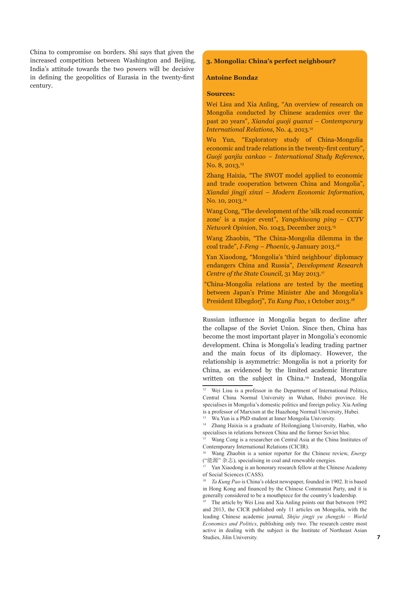China to compromise on borders. Shi says that given the increased competition between Washington and Beijing, India's attitude towards the two powers will be decisive in defining the geopolitics of Eurasia in the twenty-first century.

# **3. Mongolia: China's perfect neighbour?**

#### **Antoine Bondaz**

#### **Sources:**

Wei Lisu and Xia Anling, "An overview of research on Mongolia conducted by Chinese academics over the past 20 years", *Xiandai guoji guanxi – Contemporary International Relations*, No. 4, 2013.<sup>12</sup>

Wu Yun, "Exploratory study of China-Mongolia economic and trade relations in the twenty-first century", *Guoji yanjiu cankao – International Study Reference*, No. 8, 2013.<sup>13</sup>

Zhang Haixia, "The SWOT model applied to economic and trade cooperation between China and Mongolia", *Xiandai jingji xinxi – Modern Economic Information*, No. 10, 2013.<sup>14</sup>

Wang Cong, "The development of the 'silk road economic zone' is a major event", *Yangshiwang ping – CCTV Network Opinion*, No. 1043, December 2013.15

Wang Zhaobin, "The China-Mongolia dilemma in the coal trade", *I-Feng – Phoenix*, 9 January 2013.16

Yan Xiaodong, "Mongolia's 'third neighbour' diplomacy endangers China and Russia", *Development Research Centre of the State Council*, 31 May 2013.<sup>17</sup>

"China-Mongolia relations are tested by the meeting between Japan's Prime Minister Abe and Mongolia's President Elbegdorj", *Ta Kung Pao*, 1 October 2013.18

Russian influence in Mongolia began to decline after the collapse of the Soviet Union. Since then, China has become the most important player in Mongolia's economic development. China is Mongolia's leading trading partner and the main focus of its diplomacy. However, the relationship is asymmetric: Mongolia is not a priority for China, as evidenced by the limited academic literature written on the subject in China.19 Instead, Mongolia

<sup>&</sup>lt;sup>12</sup> Wei Lisu is a professor in the Department of International Politics, Central China Normal University in Wuhan, Hubei province. He specialises in Mongolia's domestic politics and foreign policy. Xia Anling is a professor of Marxism at the Huazhong Normal University, Hubei.

Wu Yun is a PhD student at Inner Mongolia University.

<sup>14</sup> Zhang Haixia is a graduate of Heilongjiang University, Harbin, who specialises in relations between China and the former Soviet bloc.

Wang Cong is a researcher on Central Asia at the China Institutes of Contemporary International Relations (CICIR).

<sup>16</sup> Wang Zhaobin is a senior reporter for the Chinese review, *Energy* ("能源" 杂志), specialising in coal and renewable energies.

<sup>17</sup> Yan Xiaodong is an honorary research fellow at the Chinese Academy of Social Sciences (CASS).

<sup>18</sup> *Ta Kung Pao* is China's oldest newspaper, founded in 1902. It is based in Hong Kong and financed by the Chinese Communist Party, and it is generally considered to be a mouthpiece for the country's leadership.

<sup>19</sup> The article by Wei Lisu and Xia Anling points out that between 1992 and 2013, the CICR published only 11 articles on Mongolia, with the leading Chinese academic journal, *Shijie jingji yu zhengzhi – World Economics and Politics*, publishing only two. The research centre most active in dealing with the subject is the Institute of Northeast Asian Studies, Jilin University.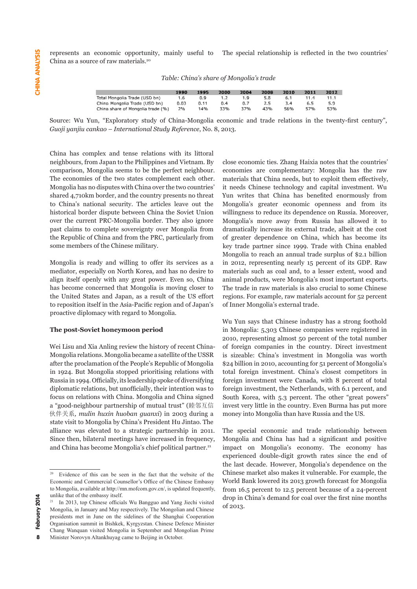The special relationship is reflected in the two countries' represents an economic opportunity, mainly useful to China as a source of raw materials.20

*Table: China's share of Mongolia's trade Table: China's share of Mongolia's trade* 

|                                   | 1990 | 1995 | 2000 | 2004 | 2008 | 2010 | 2011 | 2012 |
|-----------------------------------|------|------|------|------|------|------|------|------|
| Total Mongolia Trade (USD bn)     | 1.6  | 0.9  |      | 1.9  | 5.8  | 6.1  | 11.4 | 11.1 |
| China Mongolia Trade (USD bn)     | 0.03 | 0.11 | 0.4  | 0.7  | 2.5  |      | 6.5  | 5.9  |
| China share of Mongolia trade (%) | 2%   | 14%  | 33%  | 37%  | 43%  | 56%  | 57%  | 53%  |

Source: Wu Yun, "Exploratory study of China-Mongolia economic and trade relations in the twenty-first century", .<br>Guoji yanjiu cankao – International Study Reference, No. 8, 2013.

China has complex and tense relations with its littoral neighbours, from Japan to the Philippines and Vietnam. By comparison, Mongolia seems to be the perfect neighbour. The economies of the two states complement each other. Mongolia has no disputes with China over the two countries' shared 4,710km border, and the country presents no threat to China's national security. The articles leave out the historical border dispute between China the Soviet Union over the current PRC-Mongolia border. They also ignore Mongolia's 1 past claims to complete sovereignty over Mongolia from the Republic of China and from the PRC, particularly from of greater dependence on China, which I some members of the Chinese military.

Mongolia is ready and willing to offer its services as a mediator, especially on North Korea, and has no desire to align itself openly with any great power. Even so, China animal products, were Mongolia has become concerned that Mongolia is moving closer to the United States and Japan, as a result of the US effort to reposition itself in the Asia-Pacific region and of Japan's proactive diplomacy with regard to Mongolia.

### **The post-Soviet honeymoon period**

Wei Lisu and Xia Anling review the history of recent China-Mongolia relations. Mongolia became a satellite of the USSR  $\quad$  is sizeable: China's investmen after the proclamation of the People's Republic of Mongolia in 1924. But Mongolia stopped prioritising relations with Russia in 1994. Officially, its leadership spoke of diversifying diplomatic relations, but unofficially, their intention was to focus on relations with China. Mongolia and China signed a "good-neighbour partnership of mutual trust" (睦邻互信 invest very little in the country. Even Burm 伙伴关系*, mulin huxin huoban guanxi*) in 2003 during a state visit to Mongolia by China's President Hu Jintao. The alliance was elevated to a strategic partnership in 2011. The special economic and trade relatio Since then, bilateral meetings have increased in frequency, and China has become Mongolia's chief political partner.<sup>21</sup>

n Japan to the Philippines and Vietnam. By close economic ties. Zhang Haixia notes that the countries' ngolia seems to be the perfect neighbour. economies are complementary: Mongolia has the raw of the two states complement each other. materials that China needs, but to exploit them effectively, it needs Chinese technology and capital investment. Wu matter with china over the two countries are frocas chinese technology and capital investment. We border, and the country presents no threat Yun writes that China has benefited enormously from mongolia's greater economic openness and from its percent of the Mongolia's greater economic openness and from its dispute between China the Soviet Union willingness to reduce its dependence on Russia. Moreover, Mongolia's move away from Russia has allowed it to dramatically increase its external trade, albeit at the cost of greater dependence on China, which has become its of the Chinese military. The since impact on Mongolia's experiment since 1999. Trade with China enabled Mongolia to reach an annual trade surplus of \$2.1 billion dy and willing to offer its services as a in 2012, representing nearly 15 percent of its GDP. Raw ally on North Korea, and has no desire to materials such as coal and, to a lesser extent, wood and animal products, were Mongolia's most important exports. The trade in raw materials is also crucial to some Chinese regions. For example, raw materials account for 52 percent of Inner Mongolia's external trade.

Wu Yun says that Chinese industry has a strong foothold **Example 1** Exterior **competition** in Mongolia: 5,303 Chinese companies were registered in 2010, representing almost 50 percent of the total number Anling review the history of recent China- of foreign companies in the country. Direct investment is sizeable: China's investment in Mongolia was worth \$24 billion in 2010, accounting for 51 percent of Mongolia's ngolia stopped prioritising relations with total foreign investment. China's closest competitors in  $\mathbb{R}^n$ foreign investment were Canada, with 8 percent of total foreign investment were canada, with 6 percent of total ons, but unofficially, their intention was to foreign investment, the Netherlands, with 6.1 percent, and South Korea, with Korea, with 5.3 percent. The other "great powers" is with China. Mongolia and China signed South Korea, with 5.3 percent. The other "great powers" invest very little in the country. Even Burma has put more huxin huoban guanxi) in 2003 during a money into Mongolia than have Russia and the US.

The special economic and trade relationship between eral meetings have increased in frequency, Mongolia and China has had a significant and positive ecome Mongolia's chief political partner.<sup>21</sup> impact on Mongolia's economy. The economy has experienced double-digit growth rates since the end of the last decade. However, Mongolia's dependence on the Chinese market also makes it vulnerable. For example, the World Bank lowered its 2013 growth forecast for Mongolia from 16.5 percent to 12.5 percent because of a 24-percent drop in China's demand for coal over the first nine months of 2013.

Evidence of this can be seen in the fact that the website of the Economic and Commercial Counsellor's Office of the Chinese Embassy to Mongolia, available at http://mn.mofcom.gov.cn/, is updated frequently, unlike that of the embassy itself.

<sup>21</sup> In 2013, top Chinese officials Wu Bangguo and Yang Jiechi visited Mongolia, in January and May respectively. The Mongolian and Chinese presidents met in June on the sidelines of the Shanghai Cooperation Organisation summit in Bishkek, Kyrgyzstan. Chinese Defence Minister Chang Wanquan visited Mongolia in September and Mongolian Prime Minister Norovyn Altankhuyag came to Beijing in October.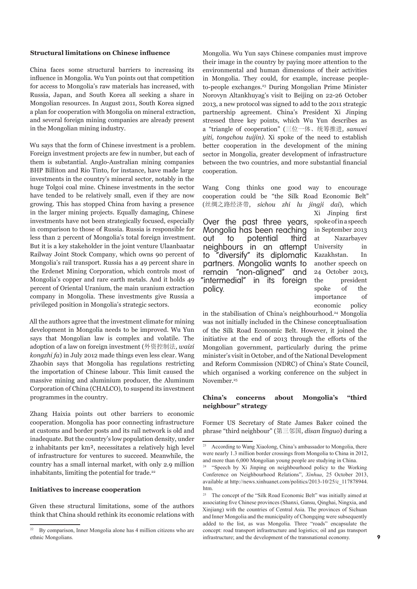### **Structural limitations on Chinese influence**

China faces some structural barriers to increasing its influence in Mongolia. Wu Yun points out that competition for access to Mongolia's raw materials has increased, with Russia, Japan, and South Korea all seeking a share in Mongolian resources. In August 2011, South Korea signed a plan for cooperation with Mongolia on mineral extraction, and several foreign mining companies are already present in the Mongolian mining industry.

Wu says that the form of Chinese investment is a problem. Foreign investment projects are few in number, but each of them is substantial. Anglo-Australian mining companies BHP Billiton and Rio Tinto, for instance, have made large investments in the country's mineral sector, notably in the huge Tolgoi coal mine. Chinese investments in the sector have tended to be relatively small, even if they are now growing. This has stopped China from having a presence in the larger mining projects. Equally damaging, Chinese investments have not been strategically focused, especially in comparison to those of Russia. Russia is responsible for less than 2 percent of Mongolia's total foreign investment. But it is a key stakeholder in the joint venture Ulaanbaatar Railway Joint Stock Company, which owns 90 percent of Mongolia's rail transport. Russia has a 49 percent share in the Erdenet Mining Corporation, which controls most of Mongolia's copper and rare earth metals. And it holds 49 percent of Oriental Uranium, the main uranium extraction company in Mongolia. These investments give Russia a privileged position in Mongolia's strategic sectors.

All the authors agree that the investment climate for mining development in Mongolia needs to be improved. Wu Yun says that Mongolian law is complex and volatile. The adoption of a law on foreign investment (外资控制法*, waizi kongzhi fa*) in July 2012 made things even less clear. Wang Zhaobin says that Mongolia has regulations restricting the importation of Chinese labour. This limit caused the massive mining and aluminium producer, the Aluminum Corporation of China (CHALCO), to suspend its investment programmes in the country.

Zhang Haixia points out other barriers to economic cooperation. Mongolia has poor connecting infrastructure at customs and border posts and its rail network is old and inadequate. But the country's low population density, under 2 inhabitants per km², necessitates a relatively high level of infrastructure for ventures to succeed. Meanwhile, the country has a small internal market, with only 2.9 million inhabitants, limiting the potential for trade.<sup>22</sup>

# **Initiatives to increase cooperation**

Given these structural limitations, some of the authors think that China should rethink its economic relations with Mongolia. Wu Yun says Chinese companies must improve their image in the country by paying more attention to the environmental and human dimensions of their activities in Mongolia. They could, for example, increase peopleto-people exchanges.23 During Mongolian Prime Minister Norovyn Altankhuyag's visit to Beijing on 22-26 October 2013, a new protocol was signed to add to the 2011 strategic partnership agreement. China's President Xi Jinping stressed three key points, which Wu Yun describes as a "triangle of cooperation" (三位一体、统筹推进*, sanwei yiti, tongchou tuijin).* Xi spoke of the need to establish better cooperation in the development of the mining sector in Mongolia, greater development of infrastructure between the two countries, and more substantial financial cooperation.

Wang Cong thinks one good way to encourage cooperation could be "the Silk Road Economic Belt" (丝绸之路经济带, *sichou zhi lu jingji dai*), which

Over the past three years, Mongolia has been reaching out to potential third neighbours in an attempt<br>to "diversify" its diplomatic "diversify" its diplomatic partners. Mongolia wants to remain "non-aligned" and "intermedial" in its foreign policy.

Xi Jinping first spoke of in a speech in September 2013 at Nazarbayev University in Kazakhstan. In another speech on 24 October 2013, the president spoke of the importance of economic policy

in the stabilisation of China's neighbourhood.<sup>24</sup> Mongolia was not initially included in the Chinese conceptualisation of the Silk Road Economic Belt. However, it joined the initiative at the end of 2013 through the efforts of the Mongolian government, particularly during the prime minister's visit in October, and of the National Development and Reform Commission (NDRC) of China's State Council, which organised a working conference on the subject in November.<sup>25</sup>

# **China's concerns about Mongolia's "third neighbour" strategy**

Former US Secretary of State James Baker coined the phrase "third neighbour" (第三邻国*, disan linguo*) during a

 $22$  By comparison, Inner Mongolia alone has 4 million citizens who are ethnic Mongolians.

<sup>23</sup> According to Wang Xiaolong, China's ambassador to Mongolia, there were nearly 1.3 million border crossings from Mongolia to China in 2012, and more than 6,000 Mongolian young people are studying in China.

<sup>&#</sup>x27;Speech by Xi Jinping on neighbourhood policy to the Working Conference on Neighbourhood Relations", *Xinhua*, 25 October 2013, available at http://news.xinhuanet.com/politics/2013-10/25/c\_117878944. htm.

<sup>&</sup>lt;sup>25</sup> The concept of the "Silk Road Economic Belt" was initially aimed at associating five Chinese provinces (Shanxi, Gansu, Qinghai, Ningxia, and Xinjiang) with the countries of Central Asia. The provinces of Sichuan and Inner Mongolia and the municipality of Chongqing were subsequently added to the list, as was Mongolia. Three "roads" encapsulate the concept: road transport infrastructure and logistics; oil and gas transport infrastructure; and the development of the transnational economy.